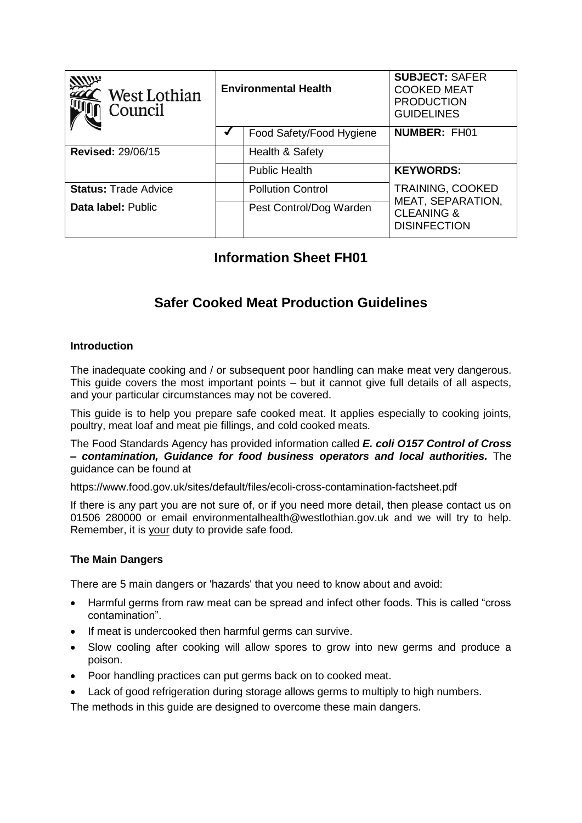| West Lothian<br>Council     | <b>Environmental Health</b> |                          | <b>SUBJECT: SAFER</b><br><b>COOKED MEAT</b><br><b>PRODUCTION</b><br><b>GUIDELINES</b> |
|-----------------------------|-----------------------------|--------------------------|---------------------------------------------------------------------------------------|
|                             |                             | Food Safety/Food Hygiene | <b>NUMBER: FH01</b>                                                                   |
| <b>Revised: 29/06/15</b>    |                             | Health & Safety          |                                                                                       |
|                             |                             | <b>Public Health</b>     | <b>KEYWORDS:</b>                                                                      |
| <b>Status: Trade Advice</b> |                             | <b>Pollution Control</b> | <b>TRAINING, COOKED</b>                                                               |
| Data label: Public          |                             | Pest Control/Dog Warden  | MEAT, SEPARATION,<br><b>CLEANING &amp;</b><br><b>DISINFECTION</b>                     |

# **Information Sheet FH01**

# **Safer Cooked Meat Production Guidelines**

## **Introduction**

The inadequate cooking and / or subsequent poor handling can make meat very dangerous. This guide covers the most important points – but it cannot give full details of all aspects, and your particular circumstances may not be covered.

This guide is to help you prepare safe cooked meat. It applies especially to cooking joints, poultry, meat loaf and meat pie fillings, and cold cooked meats.

The Food Standards Agency has provided information called *E. coli O157 Control of Cross – contamination, Guidance for food business operators and local authorities.* The guidance can be found at

https://www.food.gov.uk/sites/default/files/ecoli-cross-contamination-factsheet.pdf

If there is any part you are not sure of, or if you need more detail, then please contact us on 01506 280000 or email environmentalhealth@westlothian.gov.uk and we will try to help. Remember, it is your duty to provide safe food.

## **The Main Dangers**

There are 5 main dangers or 'hazards' that you need to know about and avoid:

- Harmful germs from raw meat can be spread and infect other foods. This is called "cross contamination".
- If meat is undercooked then harmful germs can survive.
- Slow cooling after cooking will allow spores to grow into new germs and produce a poison.
- Poor handling practices can put germs back on to cooked meat.
- Lack of good refrigeration during storage allows germs to multiply to high numbers.

The methods in this guide are designed to overcome these main dangers.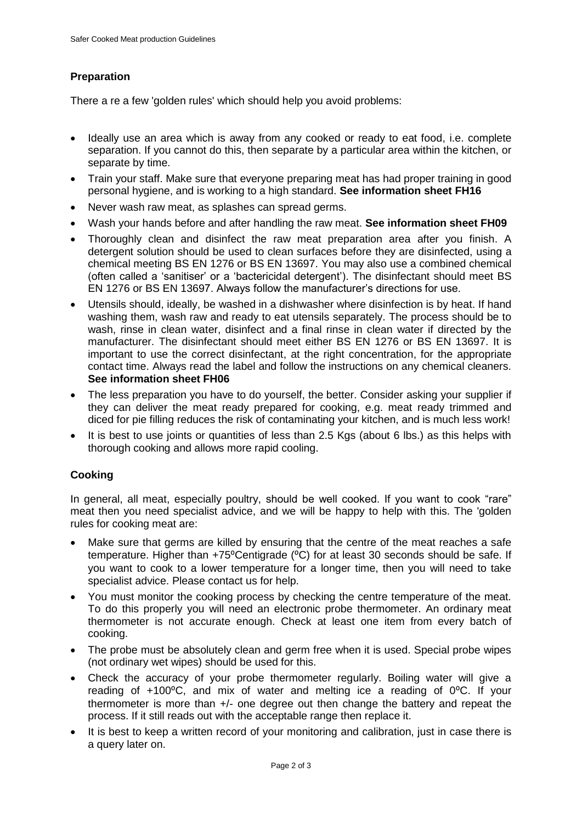## **Preparation**

There a re a few 'golden rules' which should help you avoid problems:

- Ideally use an area which is away from any cooked or ready to eat food, i.e. complete separation. If you cannot do this, then separate by a particular area within the kitchen, or separate by time.
- Train your staff. Make sure that everyone preparing meat has had proper training in good personal hygiene, and is working to a high standard. **See information sheet FH16**
- Never wash raw meat, as splashes can spread germs.
- Wash your hands before and after handling the raw meat. **See information sheet FH09**
- Thoroughly clean and disinfect the raw meat preparation area after you finish. A detergent solution should be used to clean surfaces before they are disinfected, using a chemical meeting BS EN 1276 or BS EN 13697. You may also use a combined chemical (often called a "sanitiser" or a "bactericidal detergent"). The disinfectant should meet BS EN 1276 or BS EN 13697. Always follow the manufacturer"s directions for use.
- Utensils should, ideally, be washed in a dishwasher where disinfection is by heat. If hand washing them, wash raw and ready to eat utensils separately. The process should be to wash, rinse in clean water, disinfect and a final rinse in clean water if directed by the manufacturer. The disinfectant should meet either BS EN 1276 or BS EN 13697. It is important to use the correct disinfectant, at the right concentration, for the appropriate contact time. Always read the label and follow the instructions on any chemical cleaners. **See information sheet FH06**
- The less preparation you have to do yourself, the better. Consider asking your supplier if they can deliver the meat ready prepared for cooking, e.g. meat ready trimmed and diced for pie filling reduces the risk of contaminating your kitchen, and is much less work!
- It is best to use joints or quantities of less than 2.5 Kgs (about 6 lbs.) as this helps with thorough cooking and allows more rapid cooling.

## **Cooking**

In general, all meat, especially poultry, should be well cooked. If you want to cook "rare" meat then you need specialist advice, and we will be happy to help with this. The 'golden rules for cooking meat are:

- Make sure that germs are killed by ensuring that the centre of the meat reaches a safe temperature. Higher than +75°Centigrade (°C) for at least 30 seconds should be safe. If you want to cook to a lower temperature for a longer time, then you will need to take specialist advice. Please contact us for help.
- You must monitor the cooking process by checking the centre temperature of the meat. To do this properly you will need an electronic probe thermometer. An ordinary meat thermometer is not accurate enough. Check at least one item from every batch of cooking.
- The probe must be absolutely clean and germ free when it is used. Special probe wipes (not ordinary wet wipes) should be used for this.
- Check the accuracy of your probe thermometer regularly. Boiling water will give a reading of +100°C, and mix of water and melting ice a reading of 0°C. If your thermometer is more than +/- one degree out then change the battery and repeat the process. If it still reads out with the acceptable range then replace it.
- It is best to keep a written record of your monitoring and calibration, just in case there is a query later on.